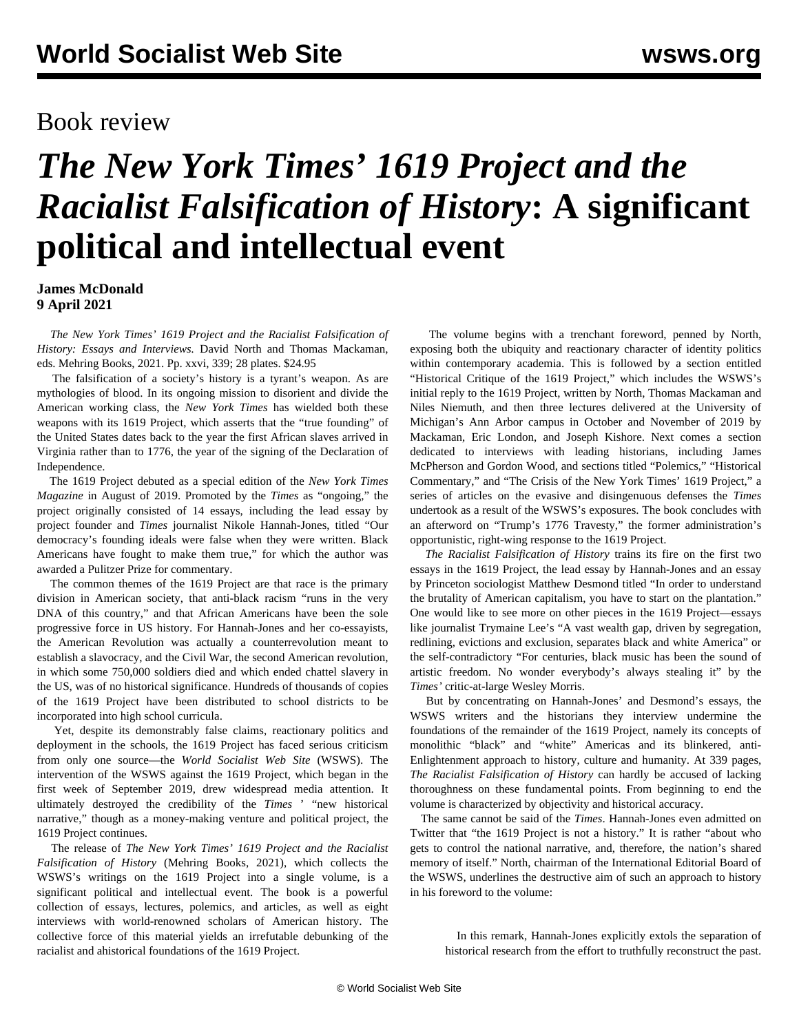## Book review

## *The New York Times' 1619 Project and the Racialist Falsification of History***: A significant political and intellectual event**

**James McDonald 9 April 2021**

 *[The New York Times' 1619 Project and the Racialist Falsification of](https://mehring.com/product/the-new-york-times-1619-project-and-the-racialist-falsification-of-history/) [History: Essays and Interviews.](https://mehring.com/product/the-new-york-times-1619-project-and-the-racialist-falsification-of-history/)* David North and Thomas Mackaman, eds. Mehring Books, 2021. Pp. xxvi, 339; 28 plates. \$24.95

 The falsification of a society's history is a tyrant's weapon. As are mythologies of blood. In its ongoing mission to disorient and divide the American working class, the *New York Times* has wielded both these weapons with its 1619 Project, which asserts that the "true founding" of the United States dates back to the year the first African slaves arrived in Virginia rather than to 1776, the year of the signing of the Declaration of Independence.

 The 1619 Project debuted as a special edition of the *New York Times Magazine* in August of 2019. Promoted by the *Times* as "ongoing," the project originally consisted of 14 essays, including the lead essay by project founder and *Times* journalist Nikole Hannah-Jones, titled "Our democracy's founding ideals were false when they were written. Black Americans have fought to make them true," for which the author was awarded a Pulitzer Prize for commentary.

 The common themes of the 1619 Project are that race is the primary division in American society, that anti-black racism "runs in the very DNA of this country," and that African Americans have been the sole progressive force in US history. For Hannah-Jones and her co-essayists, the American Revolution was actually a counterrevolution meant to establish a slavocracy, and the Civil War, the second American revolution, in which some 750,000 soldiers died and which ended chattel slavery in the US, was of no historical significance. Hundreds of thousands of copies of the 1619 Project have been distributed to school districts to be incorporated into high school curricula.

 Yet, despite its demonstrably false claims, reactionary politics and deployment in the schools, the 1619 Project has faced serious criticism from only one source—the *World Socialist Web Site* (WSWS). The intervention of the WSWS against the 1619 Project, which began in the first week of September 2019, drew widespread media attention. It ultimately destroyed the credibility of the *Times* ' "new historical narrative," though as a money-making venture and political project, the 1619 Project continues.

 The release of *The New York Times' 1619 Project and the Racialist Falsification of History* (Mehring Books, 2021), which collects the WSWS's writings on the 1619 Project into a single volume, is a significant political and intellectual event. The book is a powerful collection of essays, lectures, polemics, and articles, as well as eight interviews with world-renowned scholars of American history. The collective force of this material yields an irrefutable debunking of the racialist and ahistorical foundations of the 1619 Project.

 The volume begins with a trenchant foreword, penned by North, exposing both the ubiquity and reactionary character of identity politics within contemporary academia. This is followed by a section entitled "Historical Critique of the 1619 Project," which includes the WSWS's initial reply to the 1619 Project, written by North, Thomas Mackaman and Niles Niemuth, and then three lectures delivered at the University of Michigan's Ann Arbor campus in October and November of 2019 by Mackaman, Eric London, and Joseph Kishore. Next comes a section dedicated to interviews with leading historians, including James McPherson and Gordon Wood, and sections titled "Polemics," "Historical Commentary," and "The Crisis of the New York Times' 1619 Project," a series of articles on the evasive and disingenuous defenses the *Times* undertook as a result of the WSWS's exposures. The book concludes with an afterword on "Trump's 1776 Travesty," the former administration's opportunistic, right-wing response to the 1619 Project.

 *The Racialist Falsification of History* trains its fire on the first two essays in the 1619 Project, the lead essay by Hannah-Jones and an essay by Princeton sociologist Matthew Desmond titled "In order to understand the brutality of American capitalism, you have to start on the plantation." One would like to see more on other pieces in the 1619 Project—essays like journalist Trymaine Lee's "A vast wealth gap, driven by segregation, redlining, evictions and exclusion, separates black and white America" or the self-contradictory "For centuries, black music has been the sound of artistic freedom. No wonder everybody's always stealing it" by the *Times'* critic-at-large Wesley Morris.

 But by concentrating on Hannah-Jones' and Desmond's essays, the WSWS writers and the historians they interview undermine the foundations of the remainder of the 1619 Project, namely its concepts of monolithic "black" and "white" Americas and its blinkered, anti-Enlightenment approach to history, culture and humanity. At 339 pages, *The Racialist Falsification of History* can hardly be accused of lacking thoroughness on these fundamental points. From beginning to end the volume is characterized by objectivity and historical accuracy.

 The same cannot be said of the *Times*. Hannah-Jones even admitted on Twitter that "the 1619 Project is not a history." It is rather "about who gets to control the national narrative, and, therefore, the nation's shared memory of itself." North, chairman of the International Editorial Board of the WSWS, underlines the destructive aim of such an approach to history in his foreword to the volume:

 In this remark, Hannah-Jones explicitly extols the separation of historical research from the effort to truthfully reconstruct the past.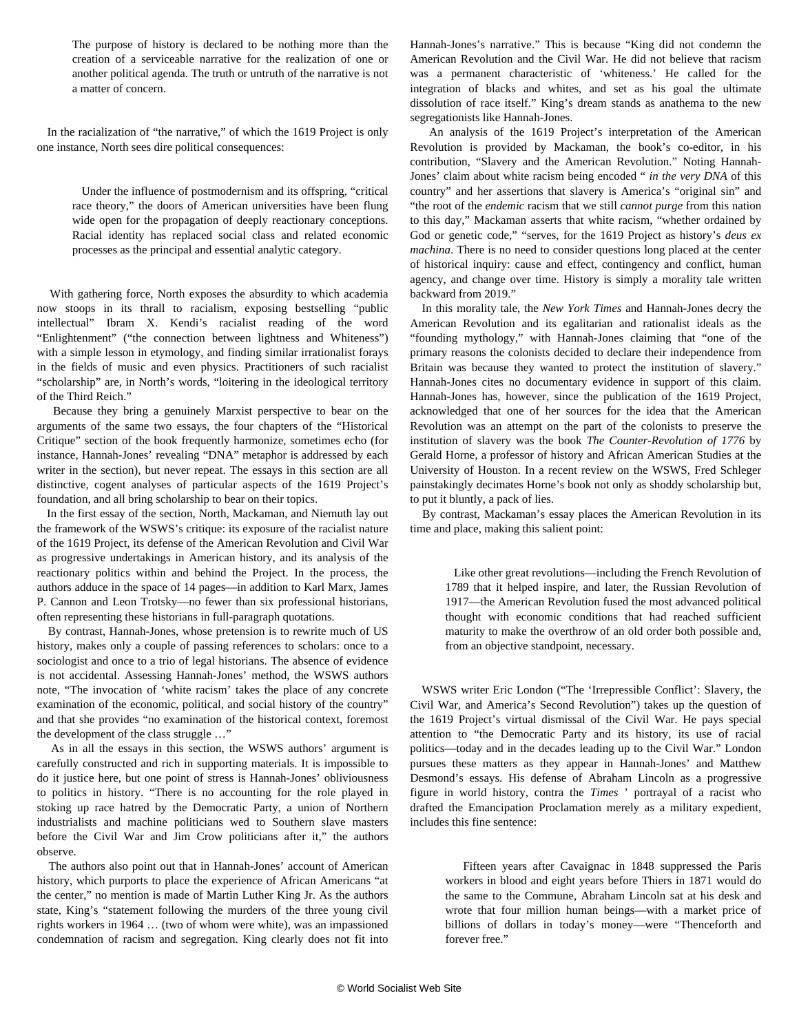The purpose of history is declared to be nothing more than the creation of a serviceable narrative for the realization of one or another political agenda. The truth or untruth of the narrative is not a matter of concern.

 In the racialization of "the narrative," of which the 1619 Project is only one instance, North sees dire political consequences:

> Under the influence of postmodernism and its offspring, "critical race theory," the doors of American universities have been flung wide open for the propagation of deeply reactionary conceptions. Racial identity has replaced social class and related economic processes as the principal and essential analytic category.

 With gathering force, North exposes the absurdity to which academia now stoops in its thrall to racialism, exposing bestselling "public intellectual" Ibram X. Kendi's racialist reading of the word "Enlightenment" ("the connection between lightness and Whiteness") with a simple lesson in etymology, and finding similar irrationalist forays in the fields of music and even physics. Practitioners of such racialist "scholarship" are, in North's words, "loitering in the ideological territory of the Third Reich."

 Because they bring a genuinely Marxist perspective to bear on the arguments of the same two essays, the four chapters of the "Historical Critique" section of the book frequently harmonize, sometimes echo (for instance, Hannah-Jones' revealing "DNA" metaphor is addressed by each writer in the section), but never repeat. The essays in this section are all distinctive, cogent analyses of particular aspects of the 1619 Project's foundation, and all bring scholarship to bear on their topics.

 In the first essay of the section, North, Mackaman, and Niemuth lay out the framework of the WSWS's critique: its exposure of the racialist nature of the 1619 Project, its defense of the American Revolution and Civil War as progressive undertakings in American history, and its analysis of the reactionary politics within and behind the Project. In the process, the authors adduce in the space of 14 pages—in addition to Karl Marx, James P. Cannon and Leon Trotsky—no fewer than six professional historians, often representing these historians in full-paragraph quotations.

 By contrast, Hannah-Jones, whose pretension is to rewrite much of US history, makes only a couple of passing references to scholars: once to a sociologist and once to a trio of legal historians. The absence of evidence is not accidental. Assessing Hannah-Jones' method, the WSWS authors note, "The invocation of 'white racism' takes the place of any concrete examination of the economic, political, and social history of the country" and that she provides "no examination of the historical context, foremost the development of the class struggle …"

 As in all the essays in this section, the WSWS authors' argument is carefully constructed and rich in supporting materials. It is impossible to do it justice here, but one point of stress is Hannah-Jones' obliviousness to politics in history. "There is no accounting for the role played in stoking up race hatred by the Democratic Party, a union of Northern industrialists and machine politicians wed to Southern slave masters before the Civil War and Jim Crow politicians after it," the authors observe.

 The authors also point out that in Hannah-Jones' account of American history, which purports to place the experience of African Americans "at the center," no mention is made of Martin Luther King Jr. As the authors state, King's "statement following the murders of the three young civil rights workers in 1964 … (two of whom were white), was an impassioned condemnation of racism and segregation. King clearly does not fit into Hannah-Jones's narrative." This is because "King did not condemn the American Revolution and the Civil War. He did not believe that racism was a permanent characteristic of 'whiteness.' He called for the integration of blacks and whites, and set as his goal the ultimate dissolution of race itself." King's dream stands as anathema to the new segregationists like Hannah-Jones.

 An analysis of the 1619 Project's interpretation of the American Revolution is provided by Mackaman, the book's co-editor, in his contribution, "Slavery and the American Revolution." Noting Hannah-Jones' claim about white racism being encoded " *in the very DNA* of this country" and her assertions that slavery is America's "original sin" and "the root of the *endemic* racism that we still *cannot purge* from this nation to this day," Mackaman asserts that white racism, "whether ordained by God or genetic code," "serves, for the 1619 Project as history's *deus ex machina*. There is no need to consider questions long placed at the center of historical inquiry: cause and effect, contingency and conflict, human agency, and change over time. History is simply a morality tale written backward from 2019."

 In this morality tale, the *New York Times* and Hannah-Jones decry the American Revolution and its egalitarian and rationalist ideals as the "founding mythology," with Hannah-Jones claiming that "one of the primary reasons the colonists decided to declare their independence from Britain was because they wanted to protect the institution of slavery." Hannah-Jones cites no documentary evidence in support of this claim. Hannah-Jones has, however, since the publication of the 1619 Project, acknowledged that one of her sources for the idea that the American Revolution was an attempt on the part of the colonists to preserve the institution of slavery was the book *The Counter-Revolution of 1776* by Gerald Horne, a professor of history and African American Studies at the University of Houston. In a recent review on the WSWS, Fred Schleger painstakingly [decimates](/en/articles/2021/03/18/horn-m18.html) Horne's book not only as shoddy scholarship but, to put it bluntly, a pack of lies.

 By contrast, Mackaman's essay places the American Revolution in its time and place, making this salient point:

 Like other great revolutions—including the French Revolution of 1789 that it helped inspire, and later, the Russian Revolution of 1917—the American Revolution fused the most advanced political thought with economic conditions that had reached sufficient maturity to make the overthrow of an old order both possible and, from an objective standpoint, necessary.

 WSWS writer Eric London ("The 'Irrepressible Conflict': Slavery, the Civil War, and America's Second Revolution") takes up the question of the 1619 Project's virtual dismissal of the Civil War. He pays special attention to "the Democratic Party and its history, its use of racial politics—today and in the decades leading up to the Civil War." London pursues these matters as they appear in Hannah-Jones' and Matthew Desmond's essays. His defense of Abraham Lincoln as a progressive figure in world history, contra the *Times* ' portrayal of a racist who drafted the Emancipation Proclamation merely as a military expedient, includes this fine sentence:

 Fifteen years after Cavaignac in 1848 suppressed the Paris workers in blood and eight years before Thiers in 1871 would do the same to the Commune, Abraham Lincoln sat at his desk and wrote that four million human beings—with a market price of billions of dollars in today's money—were "Thenceforth and forever free."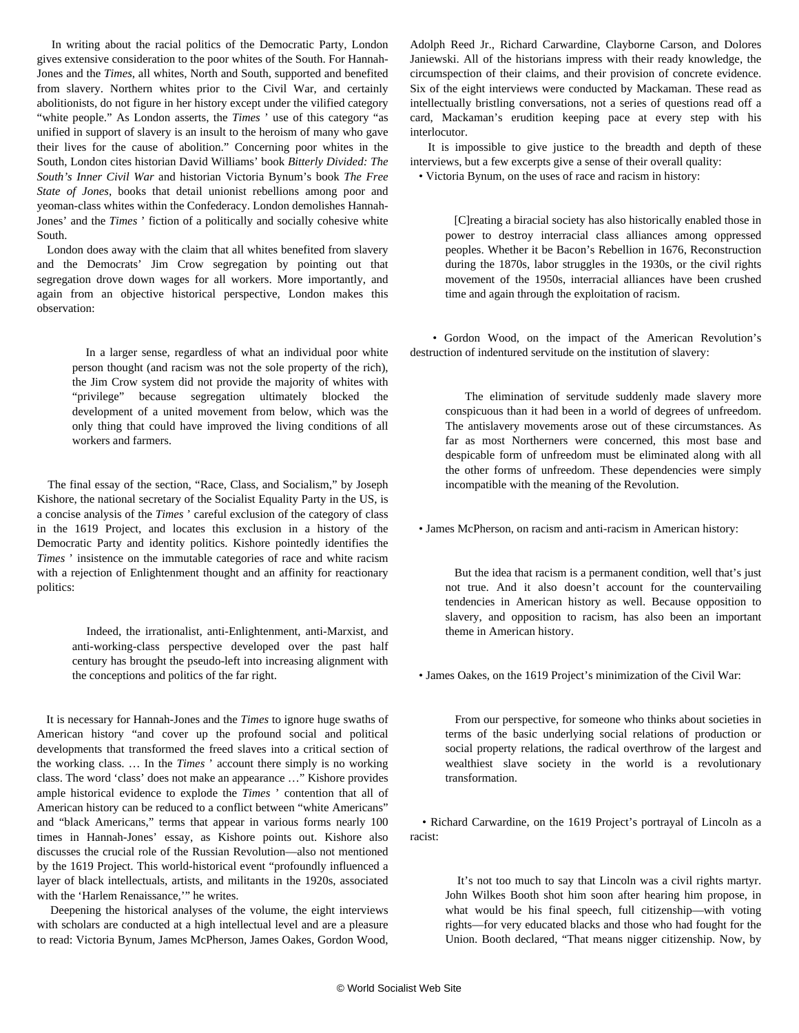In writing about the racial politics of the Democratic Party, London gives extensive consideration to the poor whites of the South. For Hannah-Jones and the *Times*, all whites, North and South, supported and benefited from slavery. Northern whites prior to the Civil War, and certainly abolitionists, do not figure in her history except under the vilified category "white people." As London asserts, the *Times* ' use of this category "as unified in support of slavery is an insult to the heroism of many who gave their lives for the cause of abolition." Concerning poor whites in the South, London cites historian David Williams' book *Bitterly Divided: The South's Inner Civil War* and historian Victoria Bynum's book *The Free State of Jones*, books that detail unionist rebellions among poor and yeoman-class whites within the Confederacy. London demolishes Hannah-Jones' and the *Times* ' fiction of a politically and socially cohesive white South.

 London does away with the claim that all whites benefited from slavery and the Democrats' Jim Crow segregation by pointing out that segregation drove down wages for all workers. More importantly, and again from an objective historical perspective, London makes this observation:

 In a larger sense, regardless of what an individual poor white person thought (and racism was not the sole property of the rich), the Jim Crow system did not provide the majority of whites with "privilege" because segregation ultimately blocked the development of a united movement from below, which was the only thing that could have improved the living conditions of all workers and farmers.

 The final essay of the section, "Race, Class, and Socialism," by Joseph Kishore, the national secretary of the Socialist Equality Party in the US, is a concise analysis of the *Times* ' careful exclusion of the category of class in the 1619 Project, and locates this exclusion in a history of the Democratic Party and identity politics. Kishore pointedly identifies the *Times* ' insistence on the immutable categories of race and white racism with a rejection of Enlightenment thought and an affinity for reactionary politics:

 Indeed, the irrationalist, anti-Enlightenment, anti-Marxist, and anti-working-class perspective developed over the past half century has brought the pseudo-left into increasing alignment with the conceptions and politics of the far right.

 It is necessary for Hannah-Jones and the *Times* to ignore huge swaths of American history "and cover up the profound social and political developments that transformed the freed slaves into a critical section of the working class. … In the *Times* ' account there simply is no working class. The word 'class' does not make an appearance …" Kishore provides ample historical evidence to explode the *Times* ' contention that all of American history can be reduced to a conflict between "white Americans" and "black Americans," terms that appear in various forms nearly 100 times in Hannah-Jones' essay, as Kishore points out. Kishore also discusses the crucial role of the Russian Revolution—also not mentioned by the 1619 Project. This world-historical event "profoundly influenced a layer of black intellectuals, artists, and militants in the 1920s, associated with the 'Harlem Renaissance,'" he writes.

 Deepening the historical analyses of the volume, the eight interviews with scholars are conducted at a high intellectual level and are a pleasure to read: Victoria Bynum, James McPherson, James Oakes, Gordon Wood,

Adolph Reed Jr., Richard Carwardine, Clayborne Carson, and Dolores Janiewski. All of the historians impress with their ready knowledge, the circumspection of their claims, and their provision of concrete evidence. Six of the eight interviews were conducted by Mackaman. These read as intellectually bristling conversations, not a series of questions read off a card, Mackaman's erudition keeping pace at every step with his interlocutor.

 It is impossible to give justice to the breadth and depth of these interviews, but a few excerpts give a sense of their overall quality:

• Victoria Bynum, on the uses of race and racism in history:

 [C]reating a biracial society has also historically enabled those in power to destroy interracial class alliances among oppressed peoples. Whether it be Bacon's Rebellion in 1676, Reconstruction during the 1870s, labor struggles in the 1930s, or the civil rights movement of the 1950s, interracial alliances have been crushed time and again through the exploitation of racism.

 • Gordon Wood, on the impact of the American Revolution's destruction of indentured servitude on the institution of slavery:

 The elimination of servitude suddenly made slavery more conspicuous than it had been in a world of degrees of unfreedom. The antislavery movements arose out of these circumstances. As far as most Northerners were concerned, this most base and despicable form of unfreedom must be eliminated along with all the other forms of unfreedom. These dependencies were simply incompatible with the meaning of the Revolution.

• James McPherson, on racism and anti-racism in American history:

 But the idea that racism is a permanent condition, well that's just not true. And it also doesn't account for the countervailing tendencies in American history as well. Because opposition to slavery, and opposition to racism, has also been an important theme in American history.

• James Oakes, on the 1619 Project's minimization of the Civil War:

 From our perspective, for someone who thinks about societies in terms of the basic underlying social relations of production or social property relations, the radical overthrow of the largest and wealthiest slave society in the world is a revolutionary transformation.

 • Richard Carwardine, on the 1619 Project's portrayal of Lincoln as a racist:

 It's not too much to say that Lincoln was a civil rights martyr. John Wilkes Booth shot him soon after hearing him propose, in what would be his final speech, full citizenship—with voting rights—for very educated blacks and those who had fought for the Union. Booth declared, "That means nigger citizenship. Now, by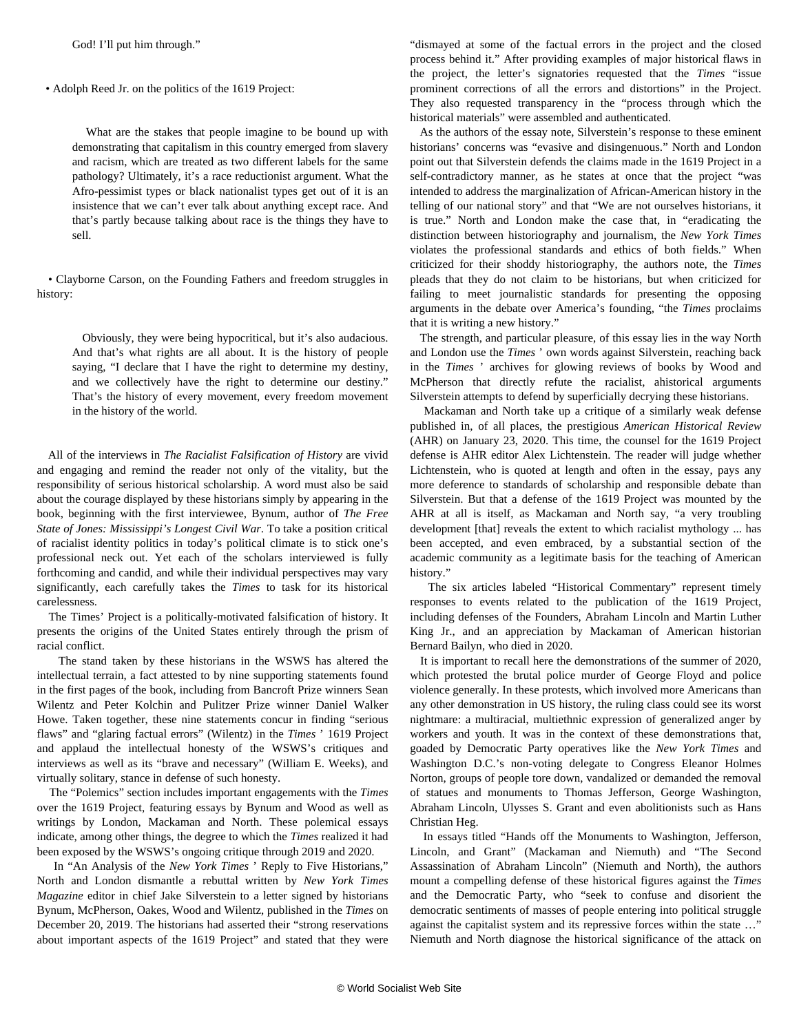God! I'll put him through."

• Adolph Reed Jr. on the politics of the 1619 Project:

 What are the stakes that people imagine to be bound up with demonstrating that capitalism in this country emerged from slavery and racism, which are treated as two different labels for the same pathology? Ultimately, it's a race reductionist argument. What the Afro-pessimist types or black nationalist types get out of it is an insistence that we can't ever talk about anything except race. And that's partly because talking about race is the things they have to sell.

 • Clayborne Carson, on the Founding Fathers and freedom struggles in history:

 Obviously, they were being hypocritical, but it's also audacious. And that's what rights are all about. It is the history of people saying, "I declare that I have the right to determine my destiny, and we collectively have the right to determine our destiny." That's the history of every movement, every freedom movement in the history of the world.

 All of the interviews in *The Racialist Falsification of History* are vivid and engaging and remind the reader not only of the vitality, but the responsibility of serious historical scholarship. A word must also be said about the courage displayed by these historians simply by appearing in the book, beginning with the first interviewee, Bynum, author of *The Free State of Jones: Mississippi's Longest Civil War*. To take a position critical of racialist identity politics in today's political climate is to stick one's professional neck out. Yet each of the scholars interviewed is fully forthcoming and candid, and while their individual perspectives may vary significantly, each carefully takes the *Times* to task for its historical carelessness.

 The Times' Project is a politically-motivated falsification of history. It presents the origins of the United States entirely through the prism of racial conflict.

 The stand taken by these historians in the WSWS has altered the intellectual terrain, a fact attested to by nine supporting statements found in the first pages of the book, including from Bancroft Prize winners Sean Wilentz and Peter Kolchin and Pulitzer Prize winner Daniel Walker Howe. Taken together, these nine statements concur in finding "serious flaws" and "glaring factual errors" (Wilentz) in the *Times* ' 1619 Project and applaud the intellectual honesty of the WSWS's critiques and interviews as well as its "brave and necessary" (William E. Weeks), and virtually solitary, stance in defense of such honesty.

 The "Polemics" section includes important engagements with the *Times* over the 1619 Project, featuring essays by Bynum and Wood as well as writings by London, Mackaman and North. These polemical essays indicate, among other things, the degree to which the *Times* realized it had been exposed by the WSWS's ongoing critique through 2019 and 2020.

 In "An Analysis of the *New York Times* ' Reply to Five Historians," North and London dismantle a rebuttal written by *New York Times Magazine* editor in chief Jake Silverstein to a letter signed by historians Bynum, McPherson, Oakes, Wood and Wilentz, published in the *Times* on December 20, 2019. The historians had asserted their "strong reservations about important aspects of the 1619 Project" and stated that they were

"dismayed at some of the factual errors in the project and the closed process behind it." After providing examples of major historical flaws in the project, the letter's signatories requested that the *Times* "issue prominent corrections of all the errors and distortions" in the Project. They also requested transparency in the "process through which the historical materials" were assembled and authenticated.

 As the authors of the essay note, Silverstein's response to these eminent historians' concerns was "evasive and disingenuous." North and London point out that Silverstein defends the claims made in the 1619 Project in a self-contradictory manner, as he states at once that the project "was intended to address the marginalization of African-American history in the telling of our national story" and that "We are not ourselves historians, it is true." North and London make the case that, in "eradicating the distinction between historiography and journalism, the *New York Times* violates the professional standards and ethics of both fields." When criticized for their shoddy historiography, the authors note, the *Times* pleads that they do not claim to be historians, but when criticized for failing to meet journalistic standards for presenting the opposing arguments in the debate over America's founding, "the *Times* proclaims that it is writing a new history."

 The strength, and particular pleasure, of this essay lies in the way North and London use the *Times* ' own words against Silverstein, reaching back in the *Times* ' archives for glowing reviews of books by Wood and McPherson that directly refute the racialist, ahistorical arguments Silverstein attempts to defend by superficially decrying these historians.

 Mackaman and North take up a critique of a similarly weak defense published in, of all places, the prestigious *American Historical Review* (AHR) on January 23, 2020. This time, the counsel for the 1619 Project defense is AHR editor Alex Lichtenstein. The reader will judge whether Lichtenstein, who is quoted at length and often in the essay, pays any more deference to standards of scholarship and responsible debate than Silverstein. But that a defense of the 1619 Project was mounted by the AHR at all is itself, as Mackaman and North say, "a very troubling development [that] reveals the extent to which racialist mythology ... has been accepted, and even embraced, by a substantial section of the academic community as a legitimate basis for the teaching of American history."

 The six articles labeled "Historical Commentary" represent timely responses to events related to the publication of the 1619 Project, including defenses of the Founders, Abraham Lincoln and Martin Luther King Jr., and an appreciation by Mackaman of American historian Bernard Bailyn, who died in 2020.

 It is important to recall here the demonstrations of the summer of 2020, which protested the brutal police murder of George Floyd and police violence generally. In these protests, which involved more Americans than any other demonstration in US history, the ruling class could see its worst nightmare: a multiracial, multiethnic expression of generalized anger by workers and youth. It was in the context of these demonstrations that, goaded by Democratic Party operatives like the *New York Times* and Washington D.C.'s non-voting delegate to Congress Eleanor Holmes Norton, groups of people tore down, vandalized or demanded the removal of statues and monuments to Thomas Jefferson, George Washington, Abraham Lincoln, Ulysses S. Grant and even abolitionists such as Hans Christian Heg.

 In essays titled "Hands off the Monuments to Washington, Jefferson, Lincoln, and Grant" (Mackaman and Niemuth) and "The Second Assassination of Abraham Lincoln" (Niemuth and North), the authors mount a compelling defense of these historical figures against the *Times* and the Democratic Party, who "seek to confuse and disorient the democratic sentiments of masses of people entering into political struggle against the capitalist system and its repressive forces within the state …" Niemuth and North diagnose the historical significance of the attack on